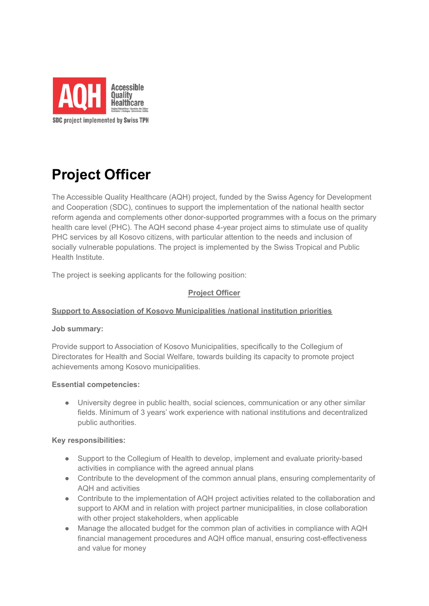

# **Project Officer**

The Accessible Quality Healthcare (AQH) project, funded by the Swiss Agency for Development and Cooperation (SDC), continues to support the implementation of the national health sector reform agenda and complements other donor-supported programmes with a focus on the primary health care level (PHC). The AQH second phase 4-year project aims to stimulate use of quality PHC services by all Kosovo citizens, with particular attention to the needs and inclusion of socially vulnerable populations. The project is implemented by the Swiss Tropical and Public Health Institute.

The project is seeking applicants for the following position:

# **Project Officer**

# **Support to Association of Kosovo Municipalities /national institution priorities**

#### **Job summary:**

Provide support to Association of Kosovo Municipalities, specifically to the Collegium of Directorates for Health and Social Welfare, towards building its capacity to promote project achievements among Kosovo municipalities.

#### **Essential competencies:**

● University degree in public health, social sciences, communication or any other similar fields. Minimum of 3 years' work experience with national institutions and decentralized public authorities.

#### **Key responsibilities:**

- Support to the Collegium of Health to develop, implement and evaluate priority-based activities in compliance with the agreed annual plans
- Contribute to the development of the common annual plans, ensuring complementarity of AQH and activities
- Contribute to the implementation of AQH project activities related to the collaboration and support to AKM and in relation with project partner municipalities, in close collaboration with other project stakeholders, when applicable
- Manage the allocated budget for the common plan of activities in compliance with AQH financial management procedures and AQH office manual, ensuring cost-effectiveness and value for money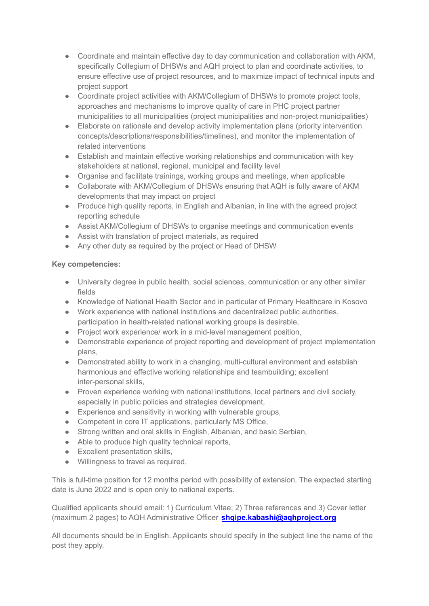- Coordinate and maintain effective day to day communication and collaboration with AKM, specifically Collegium of DHSWs and AQH project to plan and coordinate activities, to ensure effective use of project resources, and to maximize impact of technical inputs and project support
- Coordinate project activities with AKM/Collegium of DHSWs to promote project tools, approaches and mechanisms to improve quality of care in PHC project partner municipalities to all municipalities (project municipalities and non-project municipalities)
- Elaborate on rationale and develop activity implementation plans (priority intervention concepts/descriptions/responsibilities/timelines), and monitor the implementation of related interventions
- Establish and maintain effective working relationships and communication with key stakeholders at national, regional, municipal and facility level
- Organise and facilitate trainings, working groups and meetings, when applicable
- Collaborate with AKM/Collegium of DHSWs ensuring that AQH is fully aware of AKM developments that may impact on project
- Produce high quality reports, in English and Albanian, in line with the agreed project reporting schedule
- Assist AKM/Collegium of DHSWs to organise meetings and communication events
- Assist with translation of project materials, as required
- Any other duty as required by the project or Head of DHSW

# **Key competencies:**

- University degree in public health, social sciences, communication or any other similar fields
- Knowledge of National Health Sector and in particular of Primary Healthcare in Kosovo
- Work experience with national institutions and decentralized public authorities, participation in health-related national working groups is desirable,
- Project work experience/ work in a mid-level management position,
- Demonstrable experience of project reporting and development of project implementation plans,
- Demonstrated ability to work in a changing, multi-cultural environment and establish harmonious and effective working relationships and teambuilding; excellent inter-personal skills,
- Proven experience working with national institutions, local partners and civil society, especially in public policies and strategies development,
- Experience and sensitivity in working with vulnerable groups,
- Competent in core IT applications, particularly MS Office,
- Strong written and oral skills in English, Albanian, and basic Serbian,
- Able to produce high quality technical reports,
- Excellent presentation skills,
- Willingness to travel as required,

This is full-time position for 12 months period with possibility of extension. The expected starting date is June 2022 and is open only to national experts.

Qualified applicants should email: 1) Curriculum Vitae; 2) Three references and 3) Cover letter (maximum 2 pages) to AQH Administrative Officer **shqipe.kabashi@aqhproject.org**

All documents should be in English. Applicants should specify in the subject line the name of the post they apply.